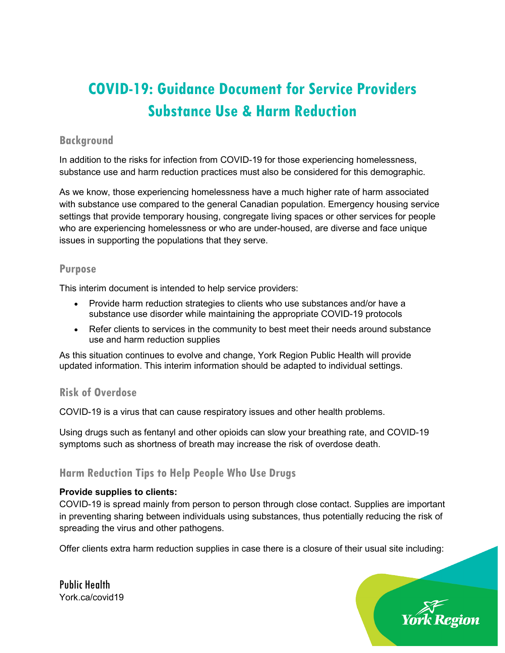# **COVID-19: Guidance Document for Service Providers Substance Use & Harm Reduction**

# **Background**

 substance use and harm reduction practices must also be considered for this demographic. In addition to the risks for infection from COVID-19 for those experiencing homelessness,

 As we know, those experiencing homelessness have a much higher rate of harm associated settings that provide temporary housing, congregate living spaces or other services for people with substance use compared to the general Canadian population. Emergency housing service who are experiencing homelessness or who are under-housed, are diverse and face unique issues in supporting the populations that they serve.

# **Purpose**

This interim document is intended to help service providers:

- Provide harm reduction strategies to clients who use substances and/or have a substance use disorder while maintaining the appropriate COVID-19 protocols
- • Refer clients to services in the community to best meet their needs around substance use and harm reduction supplies

 updated information. This interim information should be adapted to individual settings. As this situation continues to evolve and change, York Region Public Health will provide

### **Risk of Overdose**

COVID-19 is a virus that can cause respiratory issues and other health problems.

COVID-19 is a virus that can cause respiratory issues and other health problems.<br>Using drugs such as fentanyl and other opioids can slow your breathing rate, and COVID-19 symptoms such as shortness of breath may increase the risk of overdose death.

# **Harm Reduction Tips to Help People Who Use Drugs**

### **Provide supplies to clients:**

 in preventing sharing between individuals using substances, thus potentially reducing the risk of COVID-19 is spread mainly from person to person through close contact. Supplies are important spreading the virus and other pathogens.

Offer clients extra harm reduction supplies in case there is a closure of their usual site including:

Public Health York.ca/covid19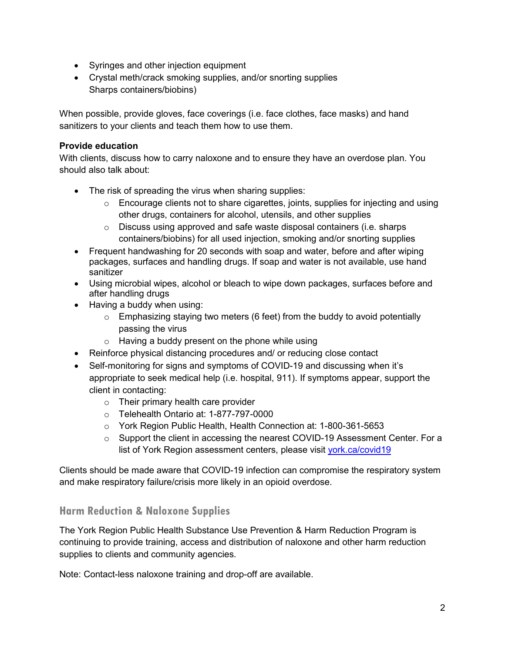- Syringes and other injection equipment
- Crystal meth/crack smoking supplies, and/or snorting supplies Sharps containers/biobins)

 When possible, provide gloves, face coverings (i.e. face clothes, face masks) and hand sanitizers to your clients and teach them how to use them.

### **Provide education**

 With clients, discuss how to carry naloxone and to ensure they have an overdose plan. You should also talk about:

- The risk of spreading the virus when sharing supplies:
	- $\circ$  Encourage clients not to share cigarettes, joints, supplies for injecting and using other drugs, containers for alcohol, utensils, and other supplies
	- o Discuss using approved and safe waste disposal containers (i.e. sharps containers/biobins) for all used injection, smoking and/or snorting supplies
- Frequent handwashing for 20 seconds with soap and water, before and after wiping packages, surfaces and handling drugs. If soap and water is not available, use hand sanitizer
- Using microbial wipes, alcohol or bleach to wipe down packages, surfaces before and after handling drugs
- • Having a buddy when using:
	- $\circ$  Emphasizing staying two meters (6 feet) from the buddy to avoid potentially passing the virus
	- $\circ$  Having a buddy present on the phone while using
- Reinforce physical distancing procedures and/ or reducing close contact
- appropriate to seek medical help (i.e. hospital, 911). If symptoms appear, support the • Self-monitoring for signs and symptoms of COVID-19 and discussing when it's client in contacting:
	- $\circ$  Their primary health care provider
	- o Telehealth Ontario at: 1-877-797-0000
	- o York Region Public Health, Health Connection at: 1-800-361-5653
	- o Support the client in accessing the nearest COVID-19 Assessment Center. For a list of York Region assessment centers, please visit vork.ca/covid19

Clients should be made aware that COVID-19 infection can compromise the respiratory system and make respiratory failure/crisis more likely in an opioid overdose.

# **Harm Reduction & Naloxone Supplies**

The York Region Public Health Substance Use Prevention & Harm Reduction Program is continuing to provide training, access and distribution of naloxone and other harm reduction supplies to clients and community agencies.

Note: Contact-less naloxone training and drop-off are available.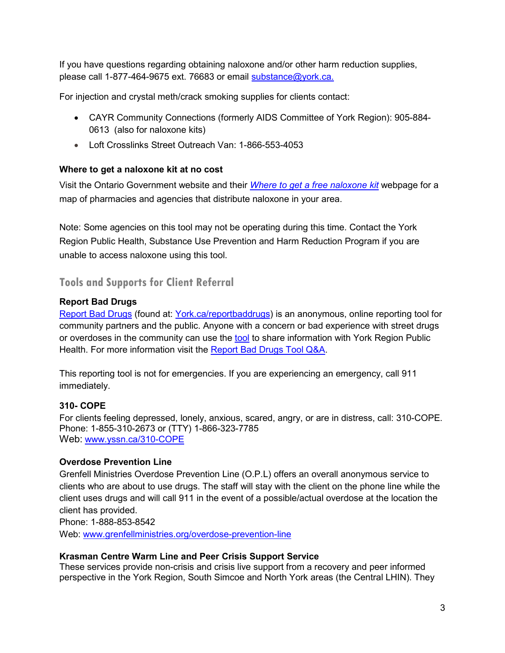If you have questions regarding obtaining naloxone and/or other harm reduction supplies, please call 1-877-464-9675 ext. 76683 or email [substance@york.ca.](mailto:substance@york.ca)

For injection and crystal meth/crack smoking supplies for clients contact:

- CAYR Community Connections (formerly AIDS Committee of York Region): 905-884- 0613 (also for naloxone kits)
- Loft Crosslinks Street Outreach Van: 1-866-553-4053

# **Where to get a naloxone kit at no cost**

 Visit the Ontario Government website and their *[Where to get a free naloxone kit](https://www.ontario.ca/page/where-get-free-naloxone-kit)* webpage for a map of pharmacies and agencies that distribute naloxone in your area.

 Note: Some agencies on this tool may not be operating during this time. Contact the York Region Public Health, Substance Use Prevention and Harm Reduction Program if you are unable to access naloxone using this tool.

**Tools and Supports for Client Referral** 

# **Report Bad Drugs**

<u>Report Bad Drugs</u> (found at: <u>York.ca/reportbaddrugs</u>) is an anonymous, online reporting tool for community partners and the public. Anyone with a concern or bad experience with street drugs or overdoses in the community can use the [tool](https://surveys.york.ca/?e=181718&h=67DF3C38C9EB06F&l=en) to share information with York Region Public Health. For more information visit the [Report Bad Drugs Tool Q&A.](https://www.york.ca/wps/wcm/connect/yorkpublic/d5369662-1897-4454-af0e-c9392147c28f/Report%2BBad%2BDrugs%2BTool%2BQA.pdf?MOD=AJPERES&CVID=n0cEtao)

 This reporting tool is not for emergencies. If you are experiencing an emergency, call 911 immediately.

# **310- COPE**

For clients feeling depressed, lonely, anxious, scared, angry, or are in distress, call: 310-COPE. Phone: 1-855-310-2673 or (TTY) 1-866-323-7785 Web: [www.yssn.ca/310-COPE](http://www.yssn.ca/310-COPE) 

### **Overdose Prevention Line**

 clients who are about to use drugs. The staff will stay with the client on the phone line while the Grenfell Ministries Overdose Prevention Line (O.P.L) offers an overall anonymous service to client uses drugs and will call 911 in the event of a possible/actual overdose at the location the client has provided.

Phone: 1-888-853-8542

Web: [www.grenfellministries.org/overdose-prevention-line](http://www.grenfellministries.org/overdose-prevention-line) 

### **Krasman Centre Warm Line and Peer Crisis Support Service**

 perspective in the York Region, South Simcoe and North York areas (the Central LHIN). They These services provide non-crisis and crisis live support from a recovery and peer informed